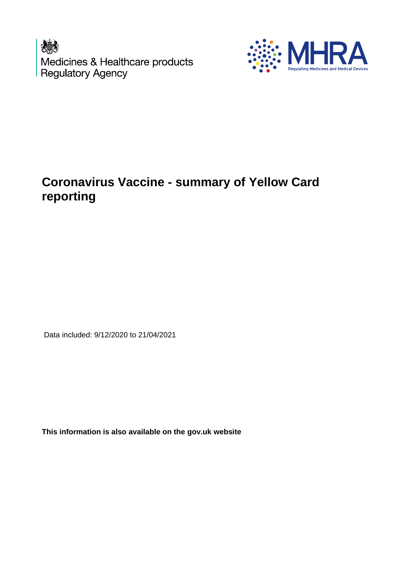Medicines & Healthcare products<br>Regulatory Agency



# **Coronavirus Vaccine - summary of Yellow Card reporting**

Data included: 9/12/2020 to 21/04/2021

**This information is also available on the gov.uk website**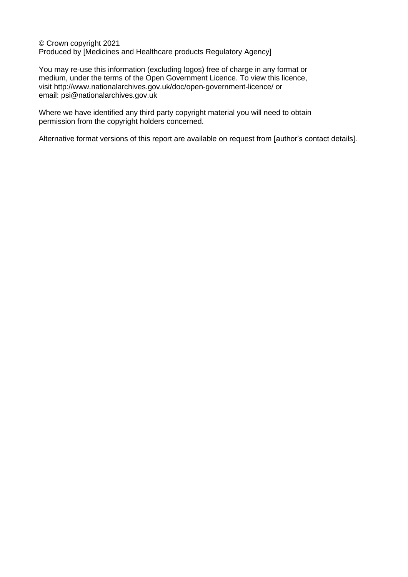© Crown copyright 2021 Produced by [Medicines and Healthcare products Regulatory Agency]

You may re-use this information (excluding logos) free of charge in any format or medium, under the terms of the Open Government Licence. To view this licence, visit <http://www.nationalarchives.gov.uk/doc/open-government-licence/> or email: psi@nationalarchives.gov.uk

Where we have identified any third party copyright material you will need to obtain permission from the copyright holders concerned.

Alternative format versions of this report are available on request from [author's contact details].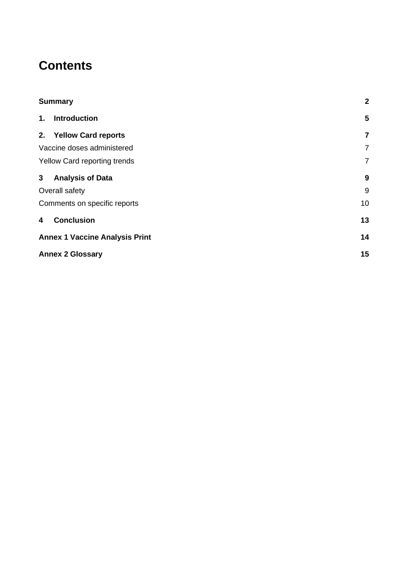# **Contents**

| <b>Summary</b> |                                       | $\mathbf{2}$   |
|----------------|---------------------------------------|----------------|
| 1.             | Introduction                          | 5              |
|                | 2. Yellow Card reports                | 7              |
|                | Vaccine doses administered            | $\overline{7}$ |
|                | Yellow Card reporting trends          | $\overline{7}$ |
| 3 <sup>7</sup> | <b>Analysis of Data</b>               | 9              |
|                | Overall safety                        | 9              |
|                | Comments on specific reports          | 10             |
| 4              | <b>Conclusion</b>                     | 13             |
|                | <b>Annex 1 Vaccine Analysis Print</b> | 14             |
|                | <b>Annex 2 Glossary</b>               |                |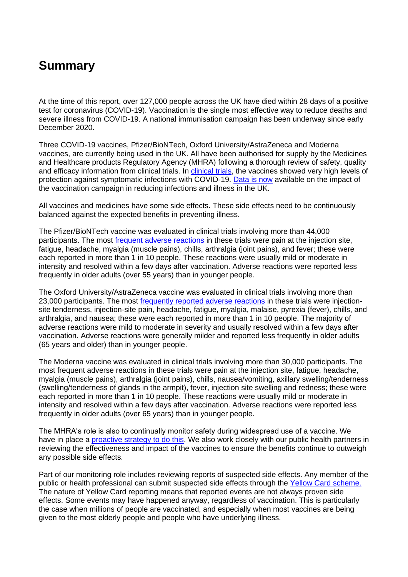# **Summary**

At the time of this report, over 127,000 people across the UK have died within 28 days of a positive test for coronavirus (COVID-19). Vaccination is the single most effective way to reduce deaths and severe illness from COVID-19. A national immunisation campaign has been underway since early December 2020.

Three COVID-19 vaccines, Pfizer/BioNTech, Oxford University/AstraZeneca and Moderna vaccines, are currently being used in the UK. All have been authorised for supply by the Medicines and Healthcare products Regulatory Agency (MHRA) following a thorough review of safety, quality and efficacy information from clinical trials. In [clinical trials,](https://www.gov.uk/government/collections/mhra-guidance-on-coronavirus-covid-19#vaccines-and-vaccine-safety) the vaccines showed very high levels of protection against symptomatic infections with COVID-19. [Data is now](https://www.gov.uk/government/publications/phe-monitoring-of-the-effectiveness-of-covid-19-vaccination) available on the impact of the vaccination campaign in reducing infections and illness in the UK.

All vaccines and medicines have some side effects. These side effects need to be continuously balanced against the expected benefits in preventing illness.

The Pfizer/BioNTech vaccine was evaluated in clinical trials involving more than 44,000 participants. The most [frequent adverse reactions](https://www.gov.uk/government/publications/regulatory-approval-of-pfizer-biontech-vaccine-for-covid-19/information-for-healthcare-professionals-on-pfizerbiontech-covid-19-vaccine) in these trials were pain at the injection site. fatigue, headache, myalgia (muscle pains), chills, arthralgia (joint pains), and fever; these were each reported in more than 1 in 10 people. These reactions were usually mild or moderate in intensity and resolved within a few days after vaccination. Adverse reactions were reported less frequently in older adults (over 55 years) than in younger people.

The Oxford University/AstraZeneca vaccine was evaluated in clinical trials involving more than 23,000 participants. The most [frequently reported adverse reactions](https://www.gov.uk/government/publications/regulatory-approval-of-covid-19-vaccine-astrazeneca/information-for-healthcare-professionals-on-covid-19-vaccine-astrazeneca) in these trials were injectionsite tenderness, injection-site pain, headache, fatigue, myalgia, malaise, pyrexia (fever), chills, and arthralgia, and nausea; these were each reported in more than 1 in 10 people. The majority of adverse reactions were mild to moderate in severity and usually resolved within a few days after vaccination. Adverse reactions were generally milder and reported less frequently in older adults (65 years and older) than in younger people.

The Moderna vaccine was evaluated in clinical trials involving more than 30,000 participants. The most frequent adverse reactions in these trials were pain at the injection site, fatigue, headache, myalgia (muscle pains), arthralgia (joint pains), chills, nausea/vomiting, axillary swelling/tenderness (swelling/tenderness of glands in the armpit), fever, injection site swelling and redness; these were each reported in more than 1 in 10 people. These reactions were usually mild or moderate in intensity and resolved within a few days after vaccination. Adverse reactions were reported less frequently in older adults (over 65 years) than in younger people.

The MHRA's role is also to continually monitor safety during widespread use of a vaccine. We have in place a [proactive strategy to do this.](https://www.gov.uk/government/publications/report-of-the-commission-on-human-medicines-expert-working-group-on-covid-19-vaccine-safety-surveillance) We also work closely with our public health partners in reviewing the effectiveness and impact of the vaccines to ensure the benefits continue to outweigh any possible side effects.

Part of our monitoring role includes reviewing reports of suspected side effects. Any member of the public or health professional can submit suspected side effects through the [Yellow Card scheme.](https://yellowcard.mhra.gov.uk/) The nature of Yellow Card reporting means that reported events are not always proven side effects. Some events may have happened anyway, regardless of vaccination. This is particularly the case when millions of people are vaccinated, and especially when most vaccines are being given to the most elderly people and people who have underlying illness.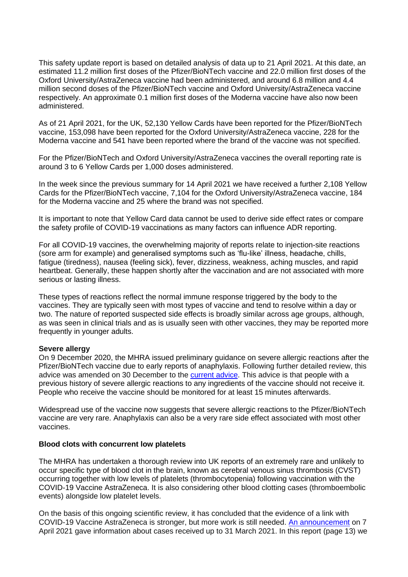This safety update report is based on detailed analysis of data up to 21 April 2021. At this date, an estimated 11.2 million first doses of the Pfizer/BioNTech vaccine and 22.0 million first doses of the Oxford University/AstraZeneca vaccine had been administered, and around 6.8 million and 4.4 million second doses of the Pfizer/BioNTech vaccine and Oxford University/AstraZeneca vaccine respectively. An approximate 0.1 million first doses of the Moderna vaccine have also now been administered.

As of 21 April 2021, for the UK, 52,130 Yellow Cards have been reported for the Pfizer/BioNTech vaccine, 153,098 have been reported for the Oxford University/AstraZeneca vaccine, 228 for the Moderna vaccine and 541 have been reported where the brand of the vaccine was not specified.

For the Pfizer/BioNTech and Oxford University/AstraZeneca vaccines the overall reporting rate is around 3 to 6 Yellow Cards per 1,000 doses administered.

In the week since the previous summary for 14 April 2021 we have received a further 2,108 Yellow Cards for the Pfizer/BioNTech vaccine, 7,104 for the Oxford University/AstraZeneca vaccine, 184 for the Moderna vaccine and 25 where the brand was not specified.

It is important to note that Yellow Card data cannot be used to derive side effect rates or compare the safety profile of COVID-19 vaccinations as many factors can influence ADR reporting.

For all COVID-19 vaccines, the overwhelming majority of reports relate to injection-site reactions (sore arm for example) and generalised symptoms such as 'flu-like' illness, headache, chills, fatigue (tiredness), nausea (feeling sick), fever, dizziness, weakness, aching muscles, and rapid heartbeat. Generally, these happen shortly after the vaccination and are not associated with more serious or lasting illness.

These types of reactions reflect the normal immune response triggered by the body to the vaccines. They are typically seen with most types of vaccine and tend to resolve within a day or two. The nature of reported suspected side effects is broadly similar across age groups, although, as was seen in clinical trials and as is usually seen with other vaccines, they may be reported more frequently in younger adults.

#### **Severe allergy**

On 9 December 2020, the MHRA issued preliminary guidance on severe allergic reactions after the Pfizer/BioNTech vaccine due to early reports of anaphylaxis. Following further detailed review, this advice was amended on 30 December to the [current advice.](https://www.gov.uk/drug-safety-update/covid-19-vaccines-pfizer-slash-biontech-and-covid-19-vaccine-astrazeneca-current-advice) This advice is that people with a previous history of severe allergic reactions to any ingredients of the vaccine should not receive it. People who receive the vaccine should be monitored for at least 15 minutes afterwards.

Widespread use of the vaccine now suggests that severe allergic reactions to the Pfizer/BioNTech vaccine are very rare. Anaphylaxis can also be a very rare side effect associated with most other vaccines.

#### **Blood clots with concurrent low platelets**

The MHRA has undertaken a thorough review into UK reports of an extremely rare and unlikely to occur specific type of blood clot in the brain, known as cerebral venous sinus thrombosis (CVST) occurring together with low levels of platelets (thrombocytopenia) following vaccination with the COVID-19 Vaccine AstraZeneca. It is also considering other blood clotting cases (thromboembolic events) alongside low platelet levels.

On the basis of this ongoing scientific review, it has concluded that the evidence of a link with COVID-19 Vaccine AstraZeneca is stronger, but more work is still needed. [An announcement](https://www.gov.uk/government/news/mhra-issues-new-advice-concluding-a-possible-link-between-covid-19-vaccine-astrazeneca-and-extremely-rare-unlikely-to-occur-blood-clots) on 7 April 2021 gave information about cases received up to 31 March 2021. In this report (page 13) we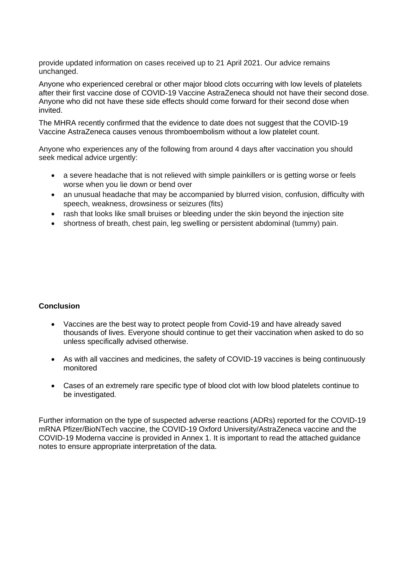provide updated information on cases received up to 21 April 2021. Our advice remains unchanged.

Anyone who experienced cerebral or other major blood clots occurring with low levels of platelets after their first vaccine dose of COVID-19 Vaccine AstraZeneca should not have their second dose. Anyone who did not have these side effects should come forward for their second dose when invited.

The MHRA recently confirmed that the evidence to date does not suggest that the COVID-19 Vaccine AstraZeneca causes venous thromboembolism without a low platelet count.

Anyone who experiences any of the following from around 4 days after vaccination you should seek medical advice urgently:

- a severe headache that is not relieved with simple painkillers or is getting worse or feels worse when you lie down or bend over
- an unusual headache that may be accompanied by blurred vision, confusion, difficulty with speech, weakness, drowsiness or seizures (fits)
- rash that looks like small bruises or bleeding under the skin beyond the injection site
- shortness of breath, chest pain, leg swelling or persistent abdominal (tummy) pain.

### **Conclusion**

- Vaccines are the best way to protect people from Covid-19 and have already saved thousands of lives. Everyone should continue to get their vaccination when asked to do so unless specifically advised otherwise.
- As with all vaccines and medicines, the safety of COVID-19 vaccines is being continuously monitored
- Cases of an extremely rare specific type of blood clot with low blood platelets continue to be investigated.

Further information on the type of suspected adverse reactions (ADRs) reported for the COVID-19 mRNA Pfizer/BioNTech vaccine, the COVID-19 Oxford University/AstraZeneca vaccine and the COVID-19 Moderna vaccine is provided in Annex 1. It is important to read the attached guidance notes to ensure appropriate interpretation of the data.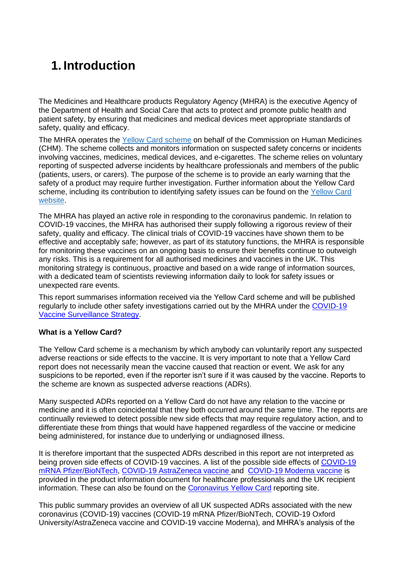# **1. Introduction**

The Medicines and Healthcare products Regulatory Agency (MHRA) is the executive Agency of the Department of Health and Social Care that acts to protect and promote public health and patient safety, by ensuring that medicines and medical devices meet appropriate standards of safety, quality and efficacy.

The MHRA operates the [Yellow Card scheme](https://yellowcard.mhra.gov.uk/) on behalf of the Commission on Human Medicines (CHM). The scheme collects and monitors information on suspected safety concerns or incidents involving vaccines, medicines, medical devices, and e-cigarettes. The scheme relies on voluntary reporting of suspected adverse incidents by healthcare professionals and members of the public (patients, users, or carers). The purpose of the scheme is to provide an early warning that the safety of a product may require further investigation. Further information about the Yellow Card scheme, including its contribution to identifying safety issues can be found on the Yellow Card [website.](https://yellowcard.mhra.gov.uk/the-yellow-card-scheme/)

The MHRA has played an active role in responding to the coronavirus pandemic. In relation to COVID-19 vaccines, the MHRA has authorised their supply following a rigorous review of their safety, quality and efficacy. The clinical trials of COVID-19 vaccines have shown them to be effective and acceptably safe; however, as part of its statutory functions, the MHRA is responsible for monitoring these vaccines on an ongoing basis to ensure their benefits continue to outweigh any risks. This is a requirement for all authorised medicines and vaccines in the UK. This monitoring strategy is continuous, proactive and based on a wide range of information sources, with a dedicated team of scientists reviewing information daily to look for safety issues or unexpected rare events.

This report summarises information received via the Yellow Card scheme and will be published regularly to include other safety investigations carried out by the MHRA under the [COVID-19](https://www.gov.uk/government/publications/report-of-the-commission-on-human-medicines-expert-working-group-on-covid-19-vaccine-safety-surveillance)  [Vaccine Surveillance Strategy.](https://www.gov.uk/government/publications/report-of-the-commission-on-human-medicines-expert-working-group-on-covid-19-vaccine-safety-surveillance)

### **What is a Yellow Card?**

The Yellow Card scheme is a mechanism by which anybody can voluntarily report any suspected adverse reactions or side effects to the vaccine. It is very important to note that a Yellow Card report does not necessarily mean the vaccine caused that reaction or event. We ask for any suspicions to be reported, even if the reporter isn't sure if it was caused by the vaccine. Reports to the scheme are known as suspected adverse reactions (ADRs).

Many suspected ADRs reported on a Yellow Card do not have any relation to the vaccine or medicine and it is often coincidental that they both occurred around the same time. The reports are continually reviewed to detect possible new side effects that may require regulatory action, and to differentiate these from things that would have happened regardless of the vaccine or medicine being administered, for instance due to underlying or undiagnosed illness.

It is therefore important that the suspected ADRs described in this report are not interpreted as being proven side effects of COVID-19 vaccines. A list of the possible side effects of [COVID-19](https://www.gov.uk/government/publications/regulatory-approval-of-pfizer-biontech-vaccine-for-covid-19)  [mRNA Pfizer/BioNTech,](https://www.gov.uk/government/publications/regulatory-approval-of-pfizer-biontech-vaccine-for-covid-19) [COVID-19 AstraZeneca vaccine](https://www.gov.uk/government/publications/regulatory-approval-of-covid-19-vaccine-astrazeneca) and [COVID-19 Moderna vaccine](https://www.gov.uk/government/publications/regulatory-approval-of-covid-19-vaccine-moderna) is provided in the product information document for healthcare professionals and the UK recipient information. These can also be found on the [Coronavirus Yellow Card](https://coronavirus-yellowcard.mhra.gov.uk/) reporting site.

This public summary provides an overview of all UK suspected ADRs associated with the new coronavirus (COVID-19) vaccines (COVID-19 mRNA Pfizer/BioNTech, COVID-19 Oxford University/AstraZeneca vaccine and COVID-19 vaccine Moderna), and MHRA's analysis of the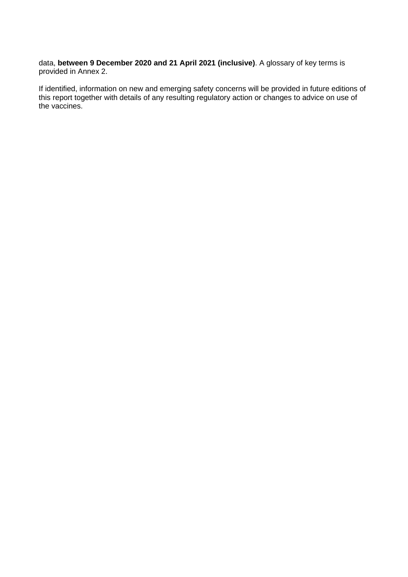data, **between 9 December 2020 and 21 April 2021 (inclusive)**. A glossary of key terms is provided in Annex 2.

If identified, information on new and emerging safety concerns will be provided in future editions of this report together with details of any resulting regulatory action or changes to advice on use of the vaccines.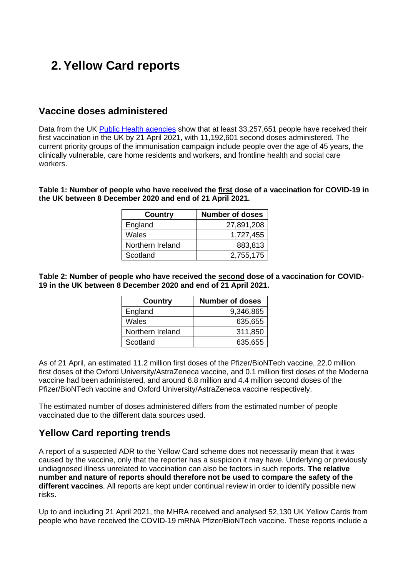# **2. Yellow Card reports**

## **Vaccine doses administered**

Data from the UK [Public Health agencies](https://coronavirus.data.gov.uk/details/vaccinations) show that at least 33,257,651 people have received their first vaccination in the UK by 21 April 2021, with 11,192,601 second doses administered. The current priority groups of the immunisation campaign include people over the age of 45 years, the clinically vulnerable, care home residents and workers, and frontline health and social care workers.

**Table 1: Number of people who have received the first dose of a vaccination for COVID-19 in the UK between 8 December 2020 and end of 21 April 2021.**

| <b>Country</b>   | Number of doses |
|------------------|-----------------|
| England          | 27,891,208      |
| Wales            | 1,727,455       |
| Northern Ireland | 883,813         |
| Scotland         | 2,755,175       |

**Table 2: Number of people who have received the second dose of a vaccination for COVID-19 in the UK between 8 December 2020 and end of 21 April 2021.**

| <b>Country</b>   | Number of doses |
|------------------|-----------------|
| England          | 9,346,865       |
| Wales            | 635,655         |
| Northern Ireland | 311,850         |
| Scotland         | 635,655         |

As of 21 April, an estimated 11.2 million first doses of the Pfizer/BioNTech vaccine, 22.0 million first doses of the Oxford University/AstraZeneca vaccine, and 0.1 million first doses of the Moderna vaccine had been administered, and around 6.8 million and 4.4 million second doses of the Pfizer/BioNTech vaccine and Oxford University/AstraZeneca vaccine respectively.

The estimated number of doses administered differs from the estimated number of people vaccinated due to the different data sources used.

## **Yellow Card reporting trends**

A report of a suspected ADR to the Yellow Card scheme does not necessarily mean that it was caused by the vaccine, only that the reporter has a suspicion it may have. Underlying or previously undiagnosed illness unrelated to vaccination can also be factors in such reports. **The relative number and nature of reports should therefore not be used to compare the safety of the different vaccines**. All reports are kept under continual review in order to identify possible new risks.

Up to and including 21 April 2021, the MHRA received and analysed 52,130 UK Yellow Cards from people who have received the COVID-19 mRNA Pfizer/BioNTech vaccine. These reports include a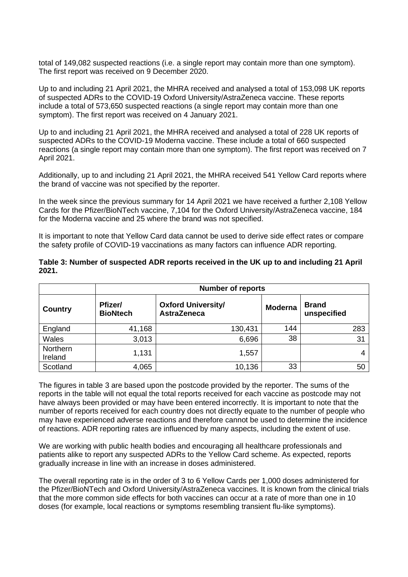total of 149,082 suspected reactions (i.e. a single report may contain more than one symptom). The first report was received on 9 December 2020.

Up to and including 21 April 2021, the MHRA received and analysed a total of 153,098 UK reports of suspected ADRs to the COVID-19 Oxford University/AstraZeneca vaccine. These reports include a total of 573,650 suspected reactions (a single report may contain more than one symptom). The first report was received on 4 January 2021.

Up to and including 21 April 2021, the MHRA received and analysed a total of 228 UK reports of suspected ADRs to the COVID-19 Moderna vaccine. These include a total of 660 suspected reactions (a single report may contain more than one symptom). The first report was received on 7 April 2021.

Additionally, up to and including 21 April 2021, the MHRA received 541 Yellow Card reports where the brand of vaccine was not specified by the reporter.

In the week since the previous summary for 14 April 2021 we have received a further 2,108 Yellow Cards for the Pfizer/BioNTech vaccine, 7,104 for the Oxford University/AstraZeneca vaccine, 184 for the Moderna vaccine and 25 where the brand was not specified.

It is important to note that Yellow Card data cannot be used to derive side effect rates or compare the safety profile of COVID-19 vaccinations as many factors can influence ADR reporting.

|                     | <b>Number of reports</b>   |                                                 |                |                             |
|---------------------|----------------------------|-------------------------------------------------|----------------|-----------------------------|
| Country             | Pfizer/<br><b>BioNtech</b> | <b>Oxford University/</b><br><b>AstraZeneca</b> | <b>Moderna</b> | <b>Brand</b><br>unspecified |
| England             | 41,168                     | 130,431                                         | 144            | 283                         |
| Wales               | 3,013                      | 6,696                                           | 38             | 31                          |
| Northern<br>Ireland | 1,131                      | 1,557                                           |                | 4                           |
| Scotland            | 4,065                      | 10,136                                          | 33             | 50                          |

**Table 3: Number of suspected ADR reports received in the UK up to and including 21 April 2021.**

The figures in table 3 are based upon the postcode provided by the reporter. The sums of the reports in the table will not equal the total reports received for each vaccine as postcode may not have always been provided or may have been entered incorrectly. It is important to note that the number of reports received for each country does not directly equate to the number of people who may have experienced adverse reactions and therefore cannot be used to determine the incidence of reactions. ADR reporting rates are influenced by many aspects, including the extent of use.

We are working with public health bodies and encouraging all healthcare professionals and patients alike to report any suspected ADRs to the Yellow Card scheme. As expected, reports gradually increase in line with an increase in doses administered.

The overall reporting rate is in the order of 3 to 6 Yellow Cards per 1,000 doses administered for the Pfizer/BioNTech and Oxford University/AstraZeneca vaccines. It is known from the clinical trials that the more common side effects for both vaccines can occur at a rate of more than one in 10 doses (for example, local reactions or symptoms resembling transient flu-like symptoms).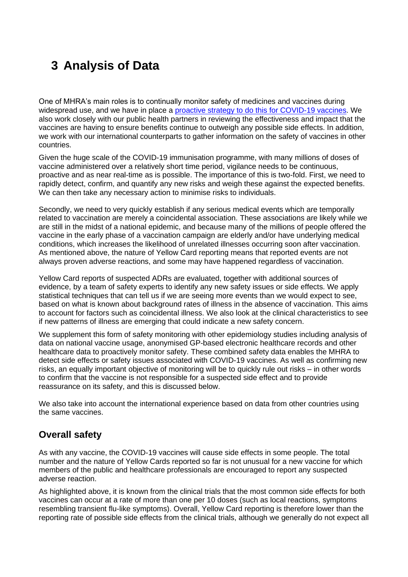# **3 Analysis of Data**

One of MHRA's main roles is to continually monitor safety of medicines and vaccines during widespread use, and we have in place a [proactive strategy to do this for COVID-19 vaccines.](https://www.gov.uk/government/publications/report-of-the-commission-on-human-medicines-expert-working-group-on-covid-19-vaccine-safety-surveillance) We also work closely with our public health partners in reviewing the effectiveness and impact that the vaccines are having to ensure benefits continue to outweigh any possible side effects. In addition, we work with our international counterparts to gather information on the safety of vaccines in other countries.

Given the huge scale of the COVID-19 immunisation programme, with many millions of doses of vaccine administered over a relatively short time period, vigilance needs to be continuous, proactive and as near real-time as is possible. The importance of this is two-fold. First, we need to rapidly detect, confirm, and quantify any new risks and weigh these against the expected benefits. We can then take any necessary action to minimise risks to individuals.

Secondly, we need to very quickly establish if any serious medical events which are temporally related to vaccination are merely a coincidental association. These associations are likely while we are still in the midst of a national epidemic, and because many of the millions of people offered the vaccine in the early phase of a vaccination campaign are elderly and/or have underlying medical conditions, which increases the likelihood of unrelated illnesses occurring soon after vaccination. As mentioned above, the nature of Yellow Card reporting means that reported events are not always proven adverse reactions, and some may have happened regardless of vaccination.

Yellow Card reports of suspected ADRs are evaluated, together with additional sources of evidence, by a team of safety experts to identify any new safety issues or side effects. We apply statistical techniques that can tell us if we are seeing more events than we would expect to see, based on what is known about background rates of illness in the absence of vaccination. This aims to account for factors such as coincidental illness. We also look at the clinical characteristics to see if new patterns of illness are emerging that could indicate a new safety concern.

We supplement this form of safety monitoring with other epidemiology studies including analysis of data on national vaccine usage, anonymised GP-based electronic healthcare records and other healthcare data to proactively monitor safety. These combined safety data enables the MHRA to detect side effects or safety issues associated with COVID-19 vaccines. As well as confirming new risks, an equally important objective of monitoring will be to quickly rule out risks – in other words to confirm that the vaccine is not responsible for a suspected side effect and to provide reassurance on its safety, and this is discussed below.

We also take into account the international experience based on data from other countries using the same vaccines.

# **Overall safety**

As with any vaccine, the COVID-19 vaccines will cause side effects in some people. The total number and the nature of Yellow Cards reported so far is not unusual for a new vaccine for which members of the public and healthcare professionals are encouraged to report any suspected adverse reaction.

As highlighted above, it is known from the clinical trials that the most common side effects for both vaccines can occur at a rate of more than one per 10 doses (such as local reactions, symptoms resembling transient flu-like symptoms). Overall, Yellow Card reporting is therefore lower than the reporting rate of possible side effects from the clinical trials, although we generally do not expect all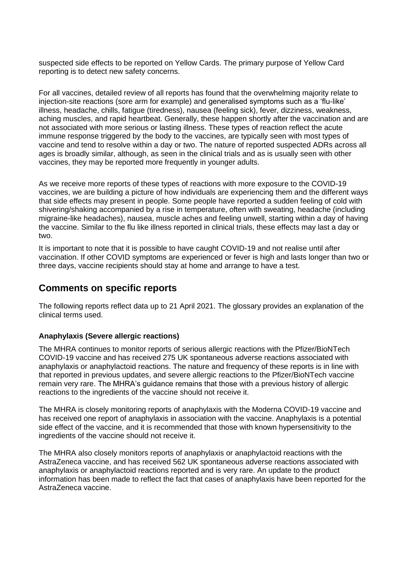suspected side effects to be reported on Yellow Cards. The primary purpose of Yellow Card reporting is to detect new safety concerns.

For all vaccines, detailed review of all reports has found that the overwhelming majority relate to injection-site reactions (sore arm for example) and generalised symptoms such as a 'flu-like' illness, headache, chills, fatigue (tiredness), nausea (feeling sick), fever, dizziness, weakness, aching muscles, and rapid heartbeat. Generally, these happen shortly after the vaccination and are not associated with more serious or lasting illness. These types of reaction reflect the acute immune response triggered by the body to the vaccines, are typically seen with most types of vaccine and tend to resolve within a day or two. The nature of reported suspected ADRs across all ages is broadly similar, although, as seen in the clinical trials and as is usually seen with other vaccines, they may be reported more frequently in younger adults.

As we receive more reports of these types of reactions with more exposure to the COVID-19 vaccines, we are building a picture of how individuals are experiencing them and the different ways that side effects may present in people. Some people have reported a sudden feeling of cold with shivering/shaking accompanied by a rise in temperature, often with sweating, headache (including migraine-like headaches), nausea, muscle aches and feeling unwell, starting within a day of having the vaccine. Similar to the flu like illness reported in clinical trials, these effects may last a day or two.

It is important to note that it is possible to have caught COVID-19 and not realise until after vaccination. If other COVID symptoms are experienced or fever is high and lasts longer than two or three days, vaccine recipients should stay at home and arrange to have a test.

## **Comments on specific reports**

The following reports reflect data up to 21 April 2021. The glossary provides an explanation of the clinical terms used.

### **Anaphylaxis (Severe allergic reactions)**

The MHRA continues to monitor reports of serious allergic reactions with the Pfizer/BioNTech COVID-19 vaccine and has received 275 UK spontaneous adverse reactions associated with anaphylaxis or anaphylactoid reactions. The nature and frequency of these reports is in line with that reported in previous updates, and severe allergic reactions to the Pfizer/BioNTech vaccine remain very rare. The MHRA's guidance remains that those with a previous history of allergic reactions to the ingredients of the vaccine should not receive it.

The MHRA is closely monitoring reports of anaphylaxis with the Moderna COVID-19 vaccine and has received one report of anaphylaxis in association with the vaccine. Anaphylaxis is a potential side effect of the vaccine, and it is recommended that those with known hypersensitivity to the ingredients of the vaccine should not receive it.

The MHRA also closely monitors reports of anaphylaxis or anaphylactoid reactions with the AstraZeneca vaccine, and has received 562 UK spontaneous adverse reactions associated with anaphylaxis or anaphylactoid reactions reported and is very rare. An update to the product information has been made to reflect the fact that cases of anaphylaxis have been reported for the AstraZeneca vaccine.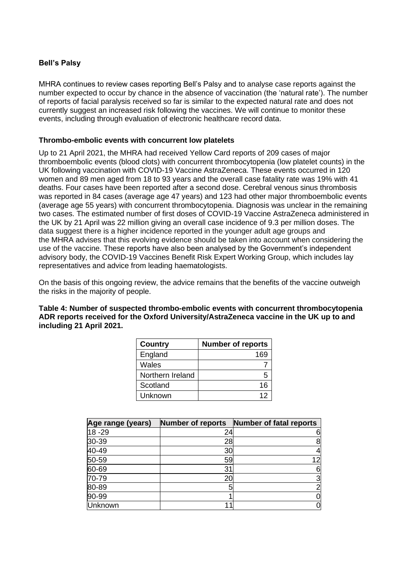## **Bell's Palsy**

MHRA continues to review cases reporting Bell's Palsy and to analyse case reports against the number expected to occur by chance in the absence of vaccination (the 'natural rate'). The number of reports of facial paralysis received so far is similar to the expected natural rate and does not currently suggest an increased risk following the vaccines. We will continue to monitor these events, including through evaluation of electronic healthcare record data.

### **Thrombo-embolic events with concurrent low platelets**

Up to 21 April 2021, the MHRA had received Yellow Card reports of 209 cases of major thromboembolic events (blood clots) with concurrent thrombocytopenia (low platelet counts) in the UK following vaccination with COVID-19 Vaccine AstraZeneca. These events occurred in 120 women and 89 men aged from 18 to 93 years and the overall case fatality rate was 19% with 41 deaths. Four cases have been reported after a second dose. Cerebral venous sinus thrombosis was reported in 84 cases (average age 47 years) and 123 had other major thromboembolic events (average age 55 years) with concurrent thrombocytopenia. Diagnosis was unclear in the remaining two cases. The estimated number of first doses of COVID-19 Vaccine AstraZeneca administered in the UK by 21 April was 22 million giving an overall case incidence of 9.3 per million doses. The data suggest there is a higher incidence reported in the younger adult age groups and the MHRA advises that this evolving evidence should be taken into account when considering the use of the vaccine. These reports have also been analysed by the Government's independent advisory body, the COVID-19 Vaccines Benefit Risk Expert Working Group, which includes lay representatives and advice from leading haematologists.

On the basis of this ongoing review, the advice remains that the benefits of the vaccine outweigh the risks in the majority of people.

**Table 4: Number of suspected thrombo-embolic events with concurrent thrombocytopenia ADR reports received for the Oxford University/AstraZeneca vaccine in the UK up to and including 21 April 2021.**

| <b>Country</b>   | <b>Number of reports</b> |
|------------------|--------------------------|
| England          | 169                      |
| Wales            |                          |
| Northern Ireland |                          |
| Scotland         | 16                       |
| Unknown          | 12                       |

| Age range (years) | <b>Number of reports</b> | Number of fatal reports |
|-------------------|--------------------------|-------------------------|
| $18 - 29$         | 24                       | 61                      |
| 30-39             | 28                       | 8                       |
| $40 - 49$         | 30                       | 41                      |
| 50-59             | 59                       | 12                      |
| 60-69             | 31                       | 6                       |
| 70-79             | 20                       | 3                       |
| 80-89             |                          | $\overline{2}$          |
| 90-99             |                          | 01                      |
| Unknown           |                          | 0                       |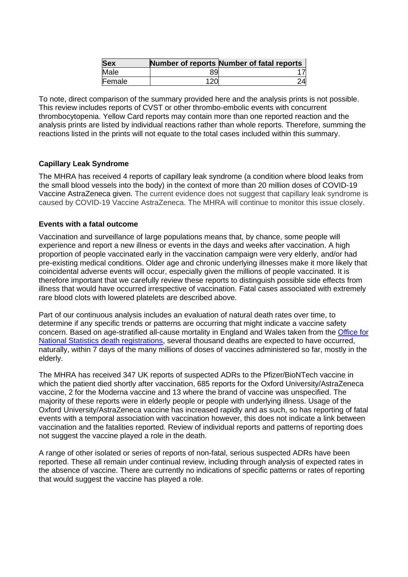| <b>Sex</b> |     | Number of reports Number of fatal reports |
|------------|-----|-------------------------------------------|
| Male       | 89  |                                           |
| Female     | 12C |                                           |

To note, direct comparison of the summary provided here and the analysis prints is not possible. This review includes reports of CVST or other thrombo-embolic events with concurrent thrombocytopenia. Yellow Card reports may contain more than one reported reaction and the analysis prints are listed by individual reactions rather than whole reports. Therefore, summing the reactions listed in the prints will not equate to the total cases included within this summary.

## **Capillary Leak Syndrome**

The MHRA has received 4 reports of capillary leak syndrome (a condition where blood leaks from the small blood vessels into the body) in the context of more than 20 million doses of COVID-19 Vaccine AstraZeneca given. The current evidence does not suggest that capillary leak syndrome is caused by COVID-19 Vaccine AstraZeneca. The MHRA will continue to monitor this issue closely.

### **Events with a fatal outcome**

Vaccination and surveillance of large populations means that, by chance, some people will experience and report a new illness or events in the days and weeks after vaccination. A high proportion of people vaccinated early in the vaccination campaign were very elderly, and/or had pre-existing medical conditions. Older age and chronic underlying illnesses make it more likely that coincidental adverse events will occur, especially given the millions of people vaccinated. It is therefore important that we carefully review these reports to distinguish possible side effects from illness that would have occurred irrespective of vaccination. Fatal cases associated with extremely rare blood clots with lowered platelets are described above.

Part of our continuous analysis includes an evaluation of natural death rates over time, to determine if any specific trends or patterns are occurring that might indicate a vaccine safety concern. Based on age-stratified all-cause mortality in England and Wales taken from the [Office for](https://www.ons.gov.uk/peoplepopulationandcommunity/birthsdeathsandmarriages/deaths/datasets/deathsregisteredinenglandandwalesseriesdrreferencetables)  [National Statistics death registrations,](https://www.ons.gov.uk/peoplepopulationandcommunity/birthsdeathsandmarriages/deaths/datasets/deathsregisteredinenglandandwalesseriesdrreferencetables) several thousand deaths are expected to have occurred, naturally, within 7 days of the many millions of doses of vaccines administered so far, mostly in the elderly.

The MHRA has received 347 UK reports of suspected ADRs to the Pfizer/BioNTech vaccine in which the patient died shortly after vaccination, 685 reports for the Oxford University/AstraZeneca vaccine, 2 for the Moderna vaccine and 13 where the brand of vaccine was unspecified. The majority of these reports were in elderly people or people with underlying illness. Usage of the Oxford University/AstraZeneca vaccine has increased rapidly and as such, so has reporting of fatal events with a temporal association with vaccination however, this does not indicate a link between vaccination and the fatalities reported. Review of individual reports and patterns of reporting does not suggest the vaccine played a role in the death.

A range of other isolated or series of reports of non-fatal, serious suspected ADRs have been reported. These all remain under continual review, including through analysis of expected rates in the absence of vaccine. There are currently no indications of specific patterns or rates of reporting that would suggest the vaccine has played a role.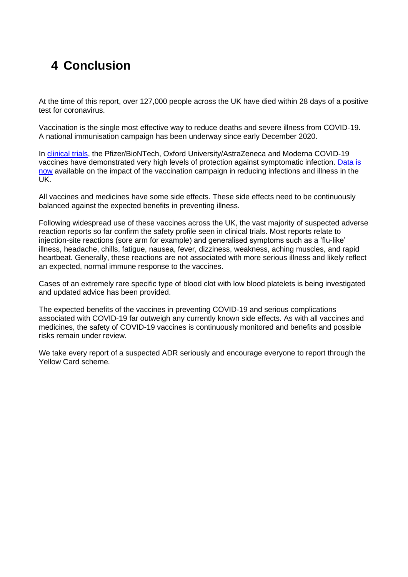# **4 Conclusion**

At the time of this report, over 127,000 people across the UK have died within 28 days of a positive test for coronavirus.

Vaccination is the single most effective way to reduce deaths and severe illness from COVID-19. A national immunisation campaign has been underway since early December 2020.

In [clinical trials,](https://www.gov.uk/government/collections/mhra-guidance-on-coronavirus-covid-19#vaccines-and-vaccine-safety) the Pfizer/BioNTech, Oxford University/AstraZeneca and Moderna COVID-19 vaccines have demonstrated very high levels of protection against symptomatic infection. [Data is](https://www.gov.uk/government/publications/phe-monitoring-of-the-effectiveness-of-covid-19-vaccination)  [now](https://www.gov.uk/government/publications/phe-monitoring-of-the-effectiveness-of-covid-19-vaccination) available on the impact of the vaccination campaign in reducing infections and illness in the UK.

All vaccines and medicines have some side effects. These side effects need to be continuously balanced against the expected benefits in preventing illness.

Following widespread use of these vaccines across the UK, the vast majority of suspected adverse reaction reports so far confirm the safety profile seen in clinical trials. Most reports relate to injection-site reactions (sore arm for example) and generalised symptoms such as a 'flu-like' illness, headache, chills, fatigue, nausea, fever, dizziness, weakness, aching muscles, and rapid heartbeat. Generally, these reactions are not associated with more serious illness and likely reflect an expected, normal immune response to the vaccines.

Cases of an extremely rare specific type of blood clot with low blood platelets is being investigated and updated advice has been provided.

The expected benefits of the vaccines in preventing COVID-19 and serious complications associated with COVID-19 far outweigh any currently known side effects. As with all vaccines and medicines, the safety of COVID-19 vaccines is continuously monitored and benefits and possible risks remain under review.

We take every report of a suspected ADR seriously and encourage everyone to report through the Yellow Card scheme.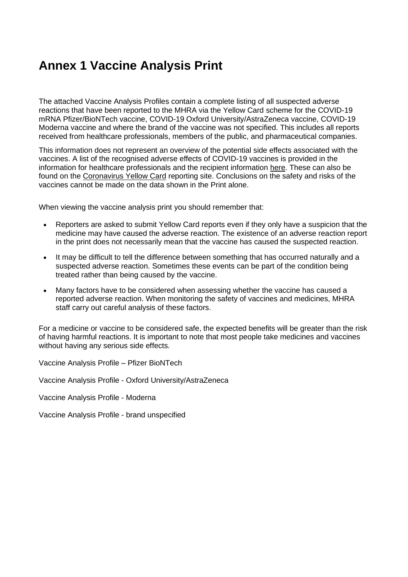# **Annex 1 Vaccine Analysis Print**

The attached Vaccine Analysis Profiles contain a complete listing of all suspected adverse reactions that have been reported to the MHRA via the Yellow Card scheme for the COVID-19 mRNA Pfizer/BioNTech vaccine, COVID-19 Oxford University/AstraZeneca vaccine, COVID-19 Moderna vaccine and where the brand of the vaccine was not specified. This includes all reports received from healthcare professionals, members of the public, and pharmaceutical companies.

This information does not represent an overview of the potential side effects associated with the vaccines. A list of the recognised adverse effects of COVID-19 vaccines is provided in the information for healthcare professionals and the recipient information [here.](https://www.gov.uk/government/publications/regulatory-approval-of-pfizer-biontech-vaccine-for-covid-19) These can also be found on the [Coronavirus Yellow Card](https://coronavirus-yellowcard.mhra.gov.uk/) reporting site. Conclusions on the safety and risks of the vaccines cannot be made on the data shown in the Print alone.

When viewing the vaccine analysis print you should remember that:

- Reporters are asked to submit Yellow Card reports even if they only have a suspicion that the medicine may have caused the adverse reaction. The existence of an adverse reaction report in the print does not necessarily mean that the vaccine has caused the suspected reaction.
- It may be difficult to tell the difference between something that has occurred naturally and a suspected adverse reaction. Sometimes these events can be part of the condition being treated rather than being caused by the vaccine.
- Many factors have to be considered when assessing whether the vaccine has caused a reported adverse reaction. When monitoring the safety of vaccines and medicines, MHRA staff carry out careful analysis of these factors.

For a medicine or vaccine to be considered safe, the expected benefits will be greater than the risk of having harmful reactions. It is important to note that most people take medicines and vaccines without having any serious side effects.

[Vaccine Analysis Profile –](https://assets.publishing.service.gov.uk/government/uploads/system/uploads/attachment_data/file/964207/COVID-19_mRNA_Pfizer-_BioNTech_Vaccine_Analysis_Print__1_.pdf) Pfizer BioNTech

Vaccine Analysis Profile - [Oxford University/AstraZeneca](https://assets.publishing.service.gov.uk/government/uploads/system/uploads/attachment_data/file/964208/COVID-19_AstraZeneca_Vaccine_Analysis_Print__2_.pdf)

Vaccine Analysis Profile - Moderna

[Vaccine Analys](https://assets.publishing.service.gov.uk/government/uploads/system/uploads/attachment_data/file/964209/COVID-19_vaccine_brand_unspecified_analysis_print__1_.pdf)is Profile - brand unspecified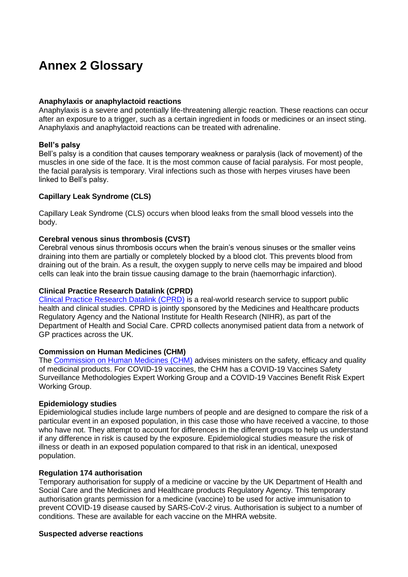# **Annex 2 Glossary**

### **Anaphylaxis or anaphylactoid reactions**

Anaphylaxis is a severe and potentially life-threatening allergic reaction. These reactions can occur after an exposure to a trigger, such as a certain ingredient in foods or medicines or an insect sting. Anaphylaxis and anaphylactoid reactions can be treated with adrenaline.

#### **Bell's palsy**

Bell's palsy is a condition that causes temporary weakness or paralysis (lack of movement) of the muscles in one side of the face. It is the most common cause of facial paralysis. For most people, the facial paralysis is temporary. Viral infections such as those with herpes viruses have been linked to Bell's palsy.

### **Capillary Leak Syndrome (CLS)**

Capillary Leak Syndrome (CLS) occurs when blood leaks from the small blood vessels into the body.

#### **Cerebral venous sinus thrombosis (CVST)**

Cerebral venous sinus thrombosis occurs when the brain's venous sinuses or the smaller veins draining into them are partially or completely blocked by a blood clot. This prevents blood from draining out of the brain. As a result, the oxygen supply to nerve cells may be impaired and blood cells can leak into the brain tissue causing damage to the brain (haemorrhagic infarction).

#### **Clinical Practice Research Datalink (CPRD)**

Clinical [Practice Research Datalink \(CPRD\)](https://www.cprd.com/) is a real-world research service to support public health and clinical studies. CPRD is jointly sponsored by the Medicines and Healthcare products Regulatory Agency and the National Institute for Health Research (NIHR), as part of the Department of Health and Social Care. CPRD collects anonymised patient data from a network of GP practices across the UK.

### **Commission on Human Medicines (CHM)**

The [Commission on Human Medicines \(CHM\)](https://www.gov.uk/government/organisations/commission-on-human-medicines) advises ministers on the safety, efficacy and quality of medicinal products. For COVID-19 vaccines, the CHM has a COVID-19 Vaccines Safety Surveillance Methodologies Expert Working Group and a COVID-19 Vaccines Benefit Risk Expert Working Group.

### **Epidemiology studies**

Epidemiological studies include large numbers of people and are designed to compare the risk of a particular event in an exposed population, in this case those who have received a vaccine, to those who have not. They attempt to account for differences in the different groups to help us understand if any difference in risk is caused by the exposure. Epidemiological studies measure the risk of illness or death in an exposed population compared to that risk in an identical, unexposed population.

#### **Regulation 174 authorisation**

Temporary authorisation for supply of a medicine or vaccine by the UK Department of Health and Social Care and the Medicines and Healthcare products Regulatory Agency. This temporary authorisation grants permission for a medicine (vaccine) to be used for active immunisation to prevent COVID-19 disease caused by SARS-CoV-2 virus. Authorisation is subject to a number of conditions. These are available for each vaccine on the MHRA website.

#### **Suspected adverse reactions**